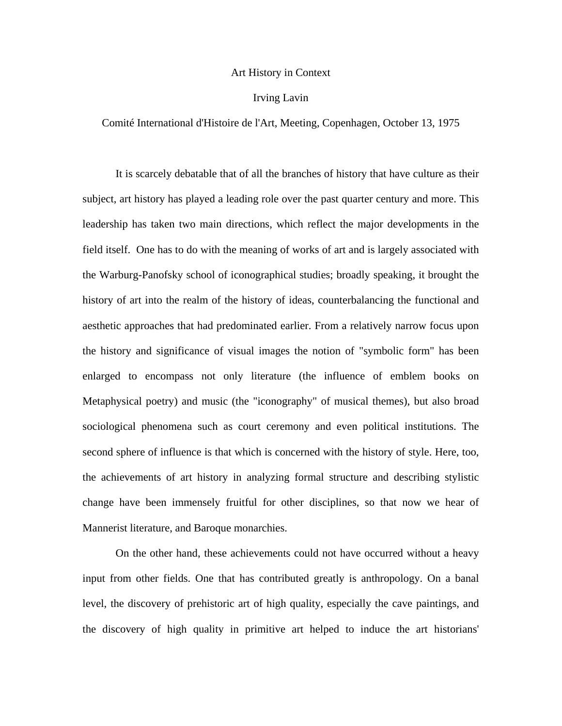## Art History in Context

## Irving Lavin

## Comité International d'Histoire de l'Art, Meeting, Copenhagen, October 13, 1975

It is scarcely debatable that of all the branches of history that have culture as their subject, art history has played a leading role over the past quarter century and more. This leadership has taken two main directions, which reflect the major developments in the field itself. One has to do with the meaning of works of art and is largely associated with the Warburg-Panofsky school of iconographical studies; broadly speaking, it brought the history of art into the realm of the history of ideas, counterbalancing the functional and aesthetic approaches that had predominated earlier. From a relatively narrow focus upon the history and significance of visual images the notion of "symbolic form" has been enlarged to encompass not only literature (the influence of emblem books on Metaphysical poetry) and music (the "iconography" of musical themes), but also broad sociological phenomena such as court ceremony and even political institutions. The second sphere of influence is that which is concerned with the history of style. Here, too, the achievements of art history in analyzing formal structure and describing stylistic change have been immensely fruitful for other disciplines, so that now we hear of Mannerist literature, and Baroque monarchies.

On the other hand, these achievements could not have occurred without a heavy input from other fields. One that has contributed greatly is anthropology. On a banal level, the discovery of prehistoric art of high quality, especially the cave paintings, and the discovery of high quality in primitive art helped to induce the art historians'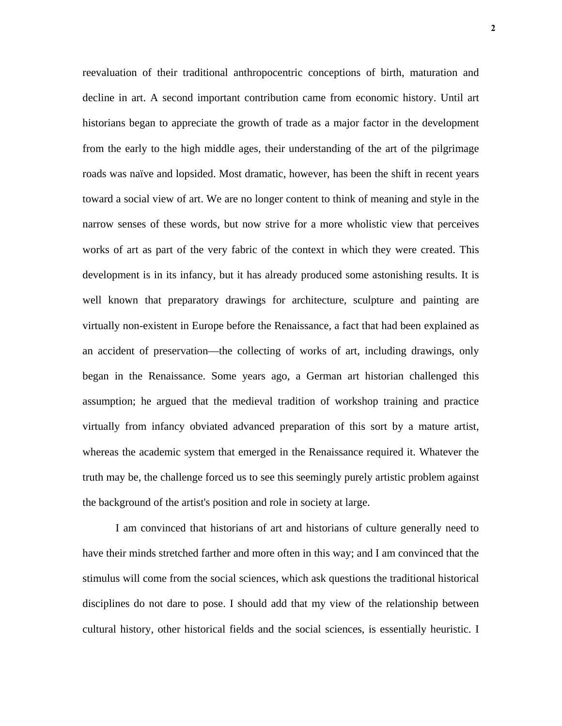reevaluation of their traditional anthropocentric conceptions of birth, maturation and decline in art. A second important contribution came from economic history. Until art historians began to appreciate the growth of trade as a major factor in the development from the early to the high middle ages, their understanding of the art of the pilgrimage roads was naïve and lopsided. Most dramatic, however, has been the shift in recent years toward a social view of art. We are no longer content to think of meaning and style in the narrow senses of these words, but now strive for a more wholistic view that perceives works of art as part of the very fabric of the context in which they were created. This development is in its infancy, but it has already produced some astonishing results. It is well known that preparatory drawings for architecture, sculpture and painting are virtually non-existent in Europe before the Renaissance, a fact that had been explained as an accident of preservation—the collecting of works of art, including drawings, only began in the Renaissance. Some years ago, a German art historian challenged this assumption; he argued that the medieval tradition of workshop training and practice virtually from infancy obviated advanced preparation of this sort by a mature artist, whereas the academic system that emerged in the Renaissance required it. Whatever the truth may be, the challenge forced us to see this seemingly purely artistic problem against the background of the artist's position and role in society at large.

I am convinced that historians of art and historians of culture generally need to have their minds stretched farther and more often in this way; and I am convinced that the stimulus will come from the social sciences, which ask questions the traditional historical disciplines do not dare to pose. I should add that my view of the relationship between cultural history, other historical fields and the social sciences, is essentially heuristic. I